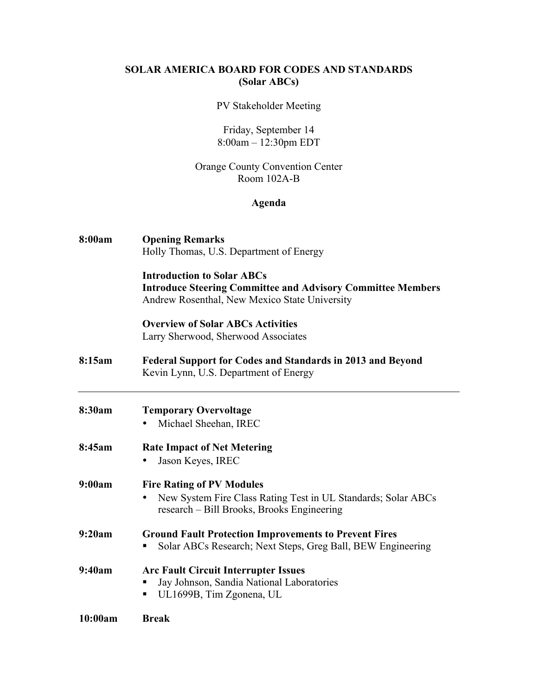# **SOLAR AMERICA BOARD FOR CODES AND STANDARDS (Solar ABCs)**

#### PV Stakeholder Meeting

# Friday, September 14 8:00am – 12:30pm EDT

### Orange County Convention Center Room 102A-B

### **Agenda**

| 8:00am  | <b>Opening Remarks</b><br>Holly Thomas, U.S. Department of Energy                                                                                        |
|---------|----------------------------------------------------------------------------------------------------------------------------------------------------------|
|         | <b>Introduction to Solar ABCs</b><br><b>Introduce Steering Committee and Advisory Committee Members</b><br>Andrew Rosenthal, New Mexico State University |
|         | <b>Overview of Solar ABCs Activities</b><br>Larry Sherwood, Sherwood Associates                                                                          |
| 8:15am  | <b>Federal Support for Codes and Standards in 2013 and Beyond</b><br>Kevin Lynn, U.S. Department of Energy                                               |
| 8:30am  | <b>Temporary Overvoltage</b><br>Michael Sheehan, IREC                                                                                                    |
| 8:45am  | <b>Rate Impact of Net Metering</b><br>Jason Keyes, IREC<br>$\bullet$                                                                                     |
| 9:00am  | <b>Fire Rating of PV Modules</b><br>New System Fire Class Rating Test in UL Standards; Solar ABCs<br>research - Bill Brooks, Brooks Engineering          |
| 9:20am  | <b>Ground Fault Protection Improvements to Prevent Fires</b><br>Solar ABCs Research; Next Steps, Greg Ball, BEW Engineering                              |
| 9:40am  | <b>Arc Fault Circuit Interrupter Issues</b><br>Jay Johnson, Sandia National Laboratories<br>UL1699B, Tim Zgonena, UL                                     |
| 10:00am | <b>Break</b>                                                                                                                                             |